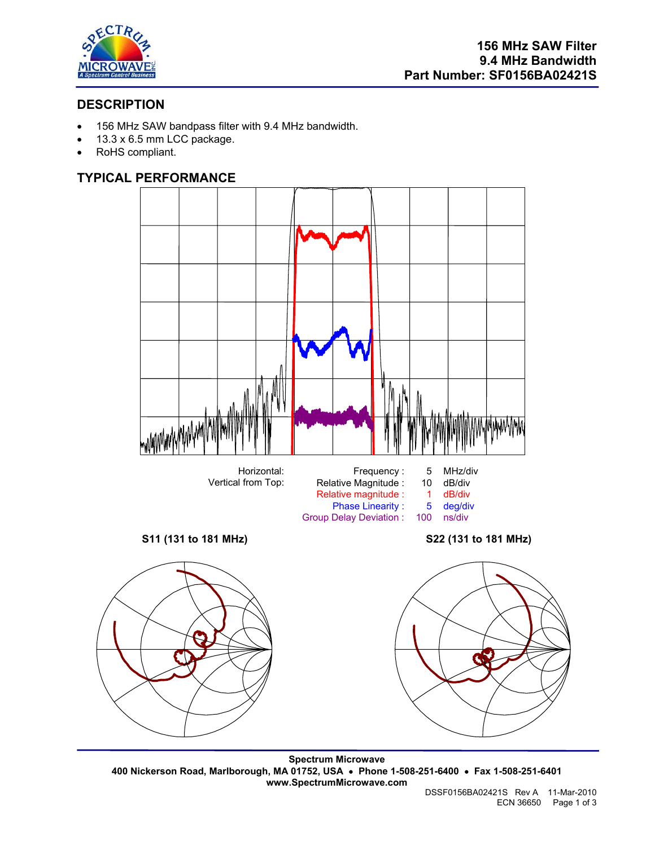

# **DESCRIPTION**

- 156 MHz SAW bandpass filter with 9.4 MHz bandwidth.
- 13.3 x 6.5 mm LCC package.
- RoHS compliant.

# **TYPICAL PERFORMANCE**



**Spectrum Microwave 400 Nickerson Road, Marlborough, MA 01752, USA** • **Phone 1-508-251-6400** • **Fax 1-508-251-6401 www.SpectrumMicrowave.com**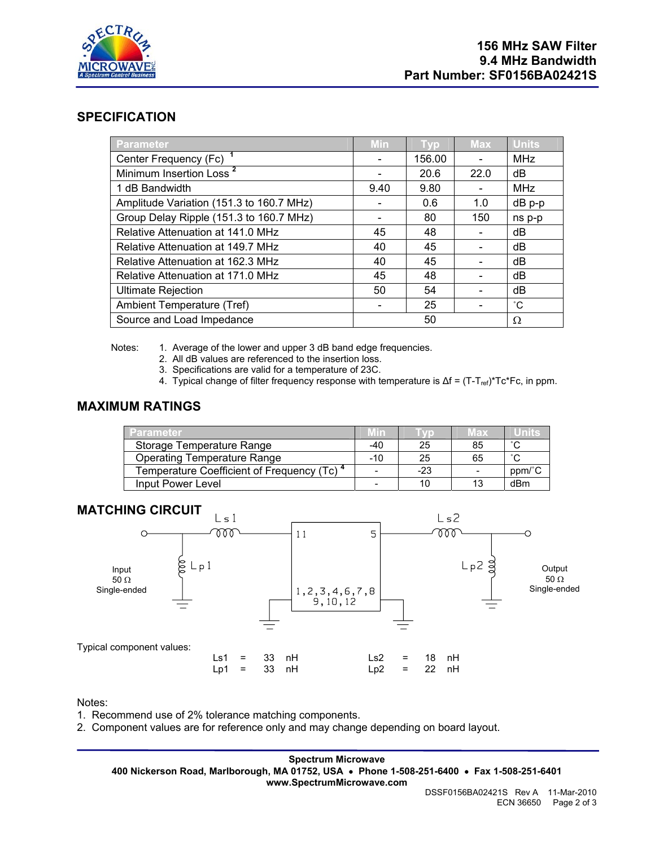

## **SPECIFICATION**

| Parameter                                | Min  | <b>Typ</b> | Max  | <b>Units</b> |
|------------------------------------------|------|------------|------|--------------|
| Center Frequency (Fc)                    |      | 156.00     |      | <b>MHz</b>   |
| Minimum Insertion Loss <sup>2</sup>      |      | 20.6       | 22.0 | dB           |
| 1 dB Bandwidth                           | 9.40 | 9.80       |      | <b>MHz</b>   |
| Amplitude Variation (151.3 to 160.7 MHz) |      | 0.6        | 1.0  | dB p-p       |
| Group Delay Ripple (151.3 to 160.7 MHz)  |      | 80         | 150  | ns p-p       |
| Relative Attenuation at 141.0 MHz        | 45   | 48         |      | dB           |
| Relative Attenuation at 149.7 MHz        | 40   | 45         |      | dB           |
| Relative Attenuation at 162.3 MHz        | 40   | 45         |      | dB           |
| Relative Attenuation at 171.0 MHz        | 45   | 48         |      | dB           |
| <b>Ultimate Rejection</b>                | 50   | 54         |      | dB           |
| Ambient Temperature (Tref)               |      | 25         |      | °С           |
| Source and Load Impedance                |      | 50         |      | Ω            |

Notes: 1. Average of the lower and upper 3 dB band edge frequencies.

- 2. All dB values are referenced to the insertion loss.
- 3. Specifications are valid for a temperature of 23C.
- 4. Typical change of filter frequency response with temperature is Δf = (T-T<sub>ref)</sub>\*Tc\*Fc, in ppm.

### **MAXIMUM RATINGS**

| Parameter                                              | Mm  |       | мах | Uniis  |
|--------------------------------------------------------|-----|-------|-----|--------|
| Storage Temperature Range                              | -40 | 25    | 85  | $\sim$ |
| Operating Temperature Range                            | -10 | 25    | 65  | $\sim$ |
| Temperature Coefficient of Frequency (Tc) <sup>4</sup> | -   | $-23$ |     | ppm/°C |
| Input Power Level                                      | -   | 10    | 13  | dBm    |



#### Notes:

- 1. Recommend use of 2% tolerance matching components.
- 2. Component values are for reference only and may change depending on board layout.

**Spectrum Microwave 400 Nickerson Road, Marlborough, MA 01752, USA** • **Phone 1-508-251-6400** • **Fax 1-508-251-6401 www.SpectrumMicrowave.com**